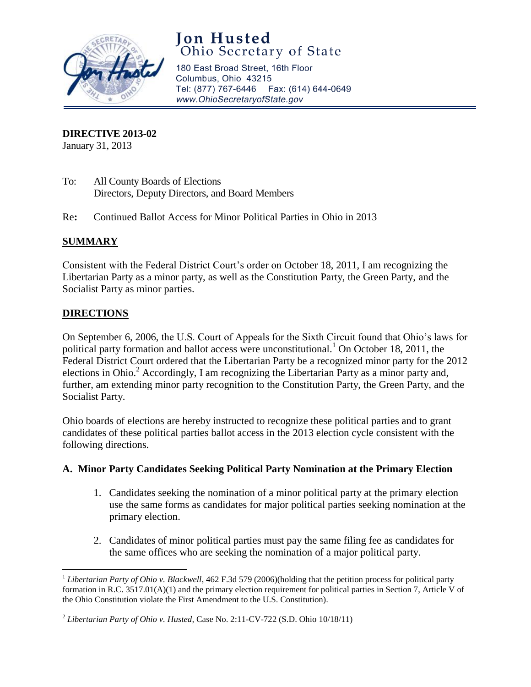

# **Jon Husted**<br>Ohio Secretary of State

180 East Broad Street, 16th Floor Columbus, Ohio 43215 Tel: (877) 767-6446 Fax: (614) 644-0649 www.OhioSecretaryofState.gov

**DIRECTIVE 2013-02**

January 31, 2013

- To: All County Boards of Elections Directors, Deputy Directors, and Board Members
- Re**:** Continued Ballot Access for Minor Political Parties in Ohio in 2013

# **SUMMARY**

Consistent with the Federal District Court's order on October 18, 2011, I am recognizing the Libertarian Party as a minor party, as well as the Constitution Party, the Green Party, and the Socialist Party as minor parties.

# **DIRECTIONS**

On September 6, 2006, the U.S. Court of Appeals for the Sixth Circuit found that Ohio's laws for political party formation and ballot access were unconstitutional.<sup>1</sup> On October 18, 2011, the Federal District Court ordered that the Libertarian Party be a recognized minor party for the 2012 elections in Ohio.<sup>2</sup> Accordingly, I am recognizing the Libertarian Party as a minor party and, further, am extending minor party recognition to the Constitution Party, the Green Party, and the Socialist Party.

Ohio boards of elections are hereby instructed to recognize these political parties and to grant candidates of these political parties ballot access in the 2013 election cycle consistent with the following directions.

# **A. Minor Party Candidates Seeking Political Party Nomination at the Primary Election**

- 1. Candidates seeking the nomination of a minor political party at the primary election use the same forms as candidates for major political parties seeking nomination at the primary election.
- 2. Candidates of minor political parties must pay the same filing fee as candidates for the same offices who are seeking the nomination of a major political party.

 1 *Libertarian Party of Ohio v. Blackwell*, 462 F.3d 579 (2006)(holding that the petition process for political party formation in R.C. 3517.01(A)(1) and the primary election requirement for political parties in Section 7, Article V of the Ohio Constitution violate the First Amendment to the U.S. Constitution).

<sup>2</sup> *Libertarian Party of Ohio v. Husted,* Case No. 2:11-CV-722 (S.D. Ohio 10/18/11)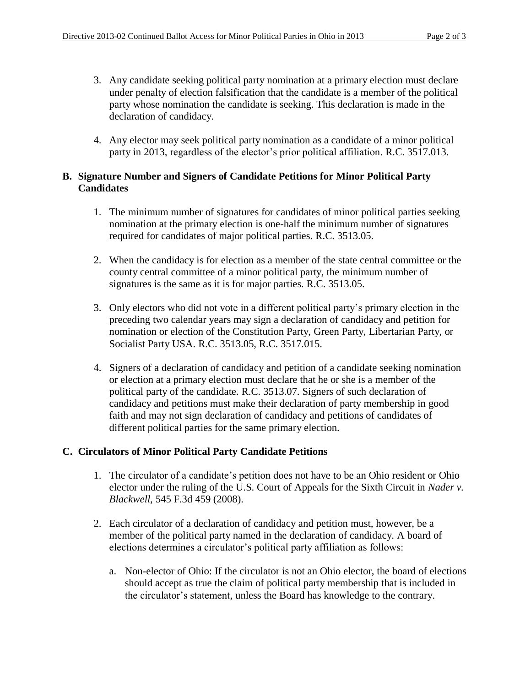- 3. Any candidate seeking political party nomination at a primary election must declare under penalty of election falsification that the candidate is a member of the political party whose nomination the candidate is seeking. This declaration is made in the declaration of candidacy.
- 4. Any elector may seek political party nomination as a candidate of a minor political party in 2013, regardless of the elector's prior political affiliation. R.C. 3517.013.

# **B. Signature Number and Signers of Candidate Petitions for Minor Political Party Candidates**

- 1. The minimum number of signatures for candidates of minor political parties seeking nomination at the primary election is one-half the minimum number of signatures required for candidates of major political parties. R.C. 3513.05.
- 2. When the candidacy is for election as a member of the state central committee or the county central committee of a minor political party, the minimum number of signatures is the same as it is for major parties. R.C. 3513.05.
- 3. Only electors who did not vote in a different political party's primary election in the preceding two calendar years may sign a declaration of candidacy and petition for nomination or election of the Constitution Party, Green Party, Libertarian Party, or Socialist Party USA. R.C. 3513.05, R.C. 3517.015.
- 4. Signers of a declaration of candidacy and petition of a candidate seeking nomination or election at a primary election must declare that he or she is a member of the political party of the candidate. R.C. 3513.07. Signers of such declaration of candidacy and petitions must make their declaration of party membership in good faith and may not sign declaration of candidacy and petitions of candidates of different political parties for the same primary election.

# **C. Circulators of Minor Political Party Candidate Petitions**

- 1. The circulator of a candidate's petition does not have to be an Ohio resident or Ohio elector under the ruling of the U.S. Court of Appeals for the Sixth Circuit in *Nader v. Blackwell*, 545 F.3d 459 (2008).
- 2. Each circulator of a declaration of candidacy and petition must, however, be a member of the political party named in the declaration of candidacy. A board of elections determines a circulator's political party affiliation as follows:
	- a. Non-elector of Ohio: If the circulator is not an Ohio elector, the board of elections should accept as true the claim of political party membership that is included in the circulator's statement, unless the Board has knowledge to the contrary.